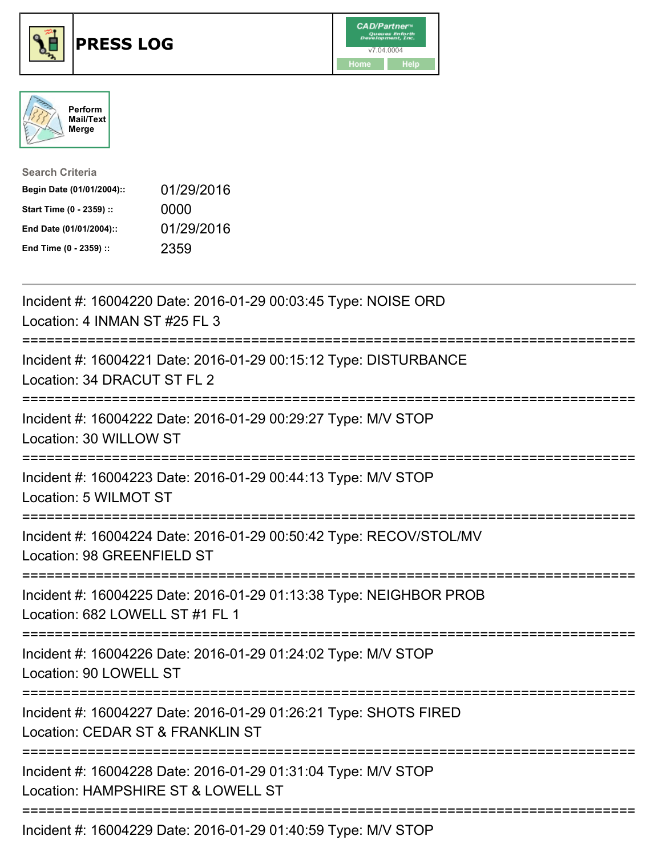





| <b>Search Criteria</b>    |            |
|---------------------------|------------|
| Begin Date (01/01/2004):: | 01/29/2016 |
| Start Time (0 - 2359) ::  | 0000       |
| End Date (01/01/2004)::   | 01/29/2016 |
| End Time (0 - 2359) ::    | 2359       |

| Incident #: 16004220 Date: 2016-01-29 00:03:45 Type: NOISE ORD<br>Location: 4 INMAN ST #25 FL 3                               |
|-------------------------------------------------------------------------------------------------------------------------------|
| Incident #: 16004221 Date: 2016-01-29 00:15:12 Type: DISTURBANCE<br>Location: 34 DRACUT ST FL 2                               |
| Incident #: 16004222 Date: 2016-01-29 00:29:27 Type: M/V STOP<br>Location: 30 WILLOW ST                                       |
| Incident #: 16004223 Date: 2016-01-29 00:44:13 Type: M/V STOP<br>Location: 5 WILMOT ST                                        |
| Incident #: 16004224 Date: 2016-01-29 00:50:42 Type: RECOV/STOL/MV<br>Location: 98 GREENFIELD ST<br>;======================== |
| Incident #: 16004225 Date: 2016-01-29 01:13:38 Type: NEIGHBOR PROB<br>Location: 682 LOWELL ST #1 FL 1                         |
| Incident #: 16004226 Date: 2016-01-29 01:24:02 Type: M/V STOP<br>Location: 90 LOWELL ST                                       |
| Incident #: 16004227 Date: 2016-01-29 01:26:21 Type: SHOTS FIRED<br>Location: CEDAR ST & FRANKLIN ST                          |
| Incident #: 16004228 Date: 2016-01-29 01:31:04 Type: M/V STOP<br>Location: HAMPSHIRE ST & LOWELL ST                           |
| $Inoidont + 16001220$ Dete: 2016.01.20.01:10:50 Tupe: MAILOTOD                                                                |

Incident #: 16004229 Date: 2016-01-29 01:40:59 Type: M/V STOP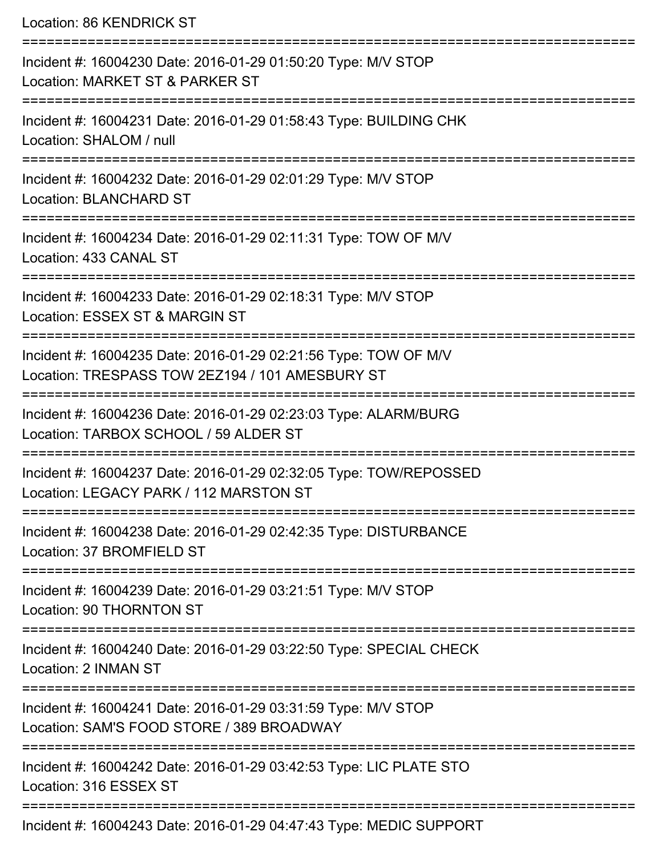Location: 86 KENDRICK ST

| Incident #: 16004230 Date: 2016-01-29 01:50:20 Type: M/V STOP<br>Location: MARKET ST & PARKER ST                   |
|--------------------------------------------------------------------------------------------------------------------|
| Incident #: 16004231 Date: 2016-01-29 01:58:43 Type: BUILDING CHK<br>Location: SHALOM / null                       |
| Incident #: 16004232 Date: 2016-01-29 02:01:29 Type: M/V STOP<br><b>Location: BLANCHARD ST</b>                     |
| Incident #: 16004234 Date: 2016-01-29 02:11:31 Type: TOW OF M/V<br>Location: 433 CANAL ST                          |
| Incident #: 16004233 Date: 2016-01-29 02:18:31 Type: M/V STOP<br>Location: ESSEX ST & MARGIN ST                    |
| Incident #: 16004235 Date: 2016-01-29 02:21:56 Type: TOW OF M/V<br>Location: TRESPASS TOW 2EZ194 / 101 AMESBURY ST |
| Incident #: 16004236 Date: 2016-01-29 02:23:03 Type: ALARM/BURG<br>Location: TARBOX SCHOOL / 59 ALDER ST           |
| Incident #: 16004237 Date: 2016-01-29 02:32:05 Type: TOW/REPOSSED<br>Location: LEGACY PARK / 112 MARSTON ST        |
| Incident #: 16004238 Date: 2016-01-29 02:42:35 Type: DISTURBANCE<br>Location: 37 BROMFIELD ST                      |
| Incident #: 16004239 Date: 2016-01-29 03:21:51 Type: M/V STOP<br>Location: 90 THORNTON ST                          |
| Incident #: 16004240 Date: 2016-01-29 03:22:50 Type: SPECIAL CHECK<br>Location: 2 INMAN ST                         |
| Incident #: 16004241 Date: 2016-01-29 03:31:59 Type: M/V STOP<br>Location: SAM'S FOOD STORE / 389 BROADWAY         |
| Incident #: 16004242 Date: 2016-01-29 03:42:53 Type: LIC PLATE STO<br>Location: 316 ESSEX ST                       |
| Incident #: 16004243 Date: 2016-01-29 04:47:43 Type: MEDIC SUPPORT                                                 |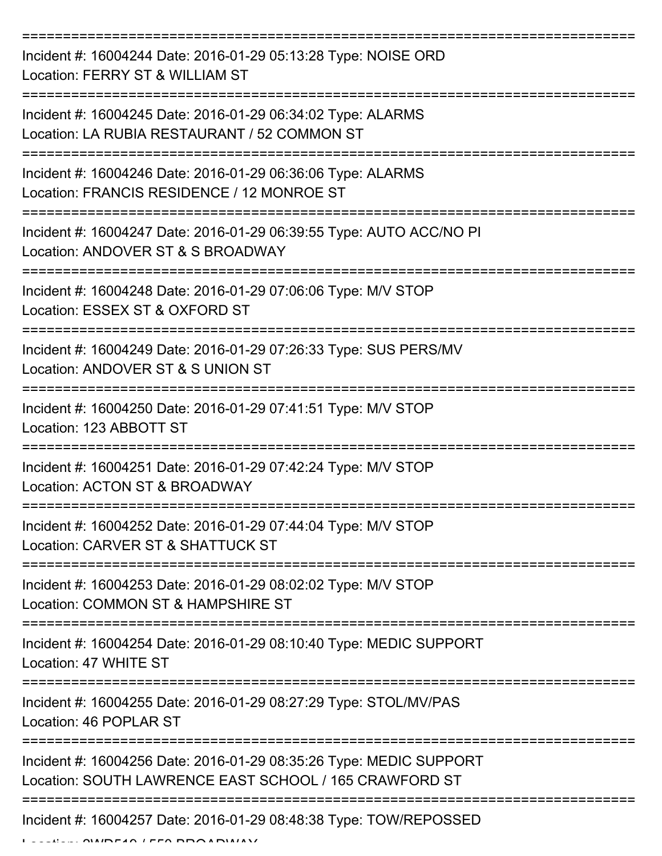=========================================================================== Incident #: 16004244 Date: 2016-01-29 05:13:28 Type: NOISE ORD Location: FERRY ST & WILLIAM ST =========================================================================== Incident #: 16004245 Date: 2016-01-29 06:34:02 Type: ALARMS Location: LA RUBIA RESTAURANT / 52 COMMON ST =========================================================================== Incident #: 16004246 Date: 2016-01-29 06:36:06 Type: ALARMS Location: FRANCIS RESIDENCE / 12 MONROE ST =========================================================================== Incident #: 16004247 Date: 2016-01-29 06:39:55 Type: AUTO ACC/NO PI Location: ANDOVER ST & S BROADWAY =========================================================================== Incident #: 16004248 Date: 2016-01-29 07:06:06 Type: M/V STOP Location: ESSEX ST & OXFORD ST =========================================================================== Incident #: 16004249 Date: 2016-01-29 07:26:33 Type: SUS PERS/MV Location: ANDOVER ST & S UNION ST =========================================================================== Incident #: 16004250 Date: 2016-01-29 07:41:51 Type: M/V STOP Location: 123 ABBOTT ST =========================================================================== Incident #: 16004251 Date: 2016-01-29 07:42:24 Type: M/V STOP Location: ACTON ST & BROADWAY =========================================================================== Incident #: 16004252 Date: 2016-01-29 07:44:04 Type: M/V STOP Location: CARVER ST & SHATTUCK ST =========================================================================== Incident #: 16004253 Date: 2016-01-29 08:02:02 Type: M/V STOP Location: COMMON ST & HAMPSHIRE ST =========================================================================== Incident #: 16004254 Date: 2016-01-29 08:10:40 Type: MEDIC SUPPORT Location: 47 WHITE ST =========================================================================== Incident #: 16004255 Date: 2016-01-29 08:27:29 Type: STOL/MV/PAS Location: 46 POPLAR ST =========================================================================== Incident #: 16004256 Date: 2016-01-29 08:35:26 Type: MEDIC SUPPORT Location: SOUTH LAWRENCE EAST SCHOOL / 165 CRAWFORD ST =========================================================================== Incident #: 16004257 Date: 2016-01-29 08:48:38 Type: TOW/REPOSSED  $L = L/L = 2$  MAIRFAN / FFA BROADWAY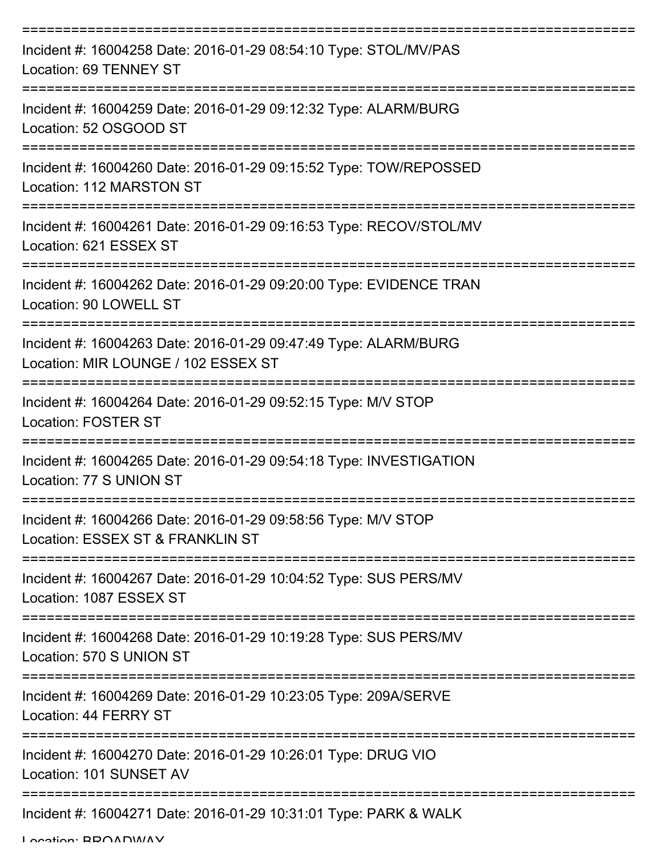| Incident #: 16004258 Date: 2016-01-29 08:54:10 Type: STOL/MV/PAS<br>Location: 69 TENNEY ST             |
|--------------------------------------------------------------------------------------------------------|
| Incident #: 16004259 Date: 2016-01-29 09:12:32 Type: ALARM/BURG<br>Location: 52 OSGOOD ST              |
| Incident #: 16004260 Date: 2016-01-29 09:15:52 Type: TOW/REPOSSED<br>Location: 112 MARSTON ST          |
| Incident #: 16004261 Date: 2016-01-29 09:16:53 Type: RECOV/STOL/MV<br>Location: 621 ESSEX ST           |
| Incident #: 16004262 Date: 2016-01-29 09:20:00 Type: EVIDENCE TRAN<br>Location: 90 LOWELL ST           |
| Incident #: 16004263 Date: 2016-01-29 09:47:49 Type: ALARM/BURG<br>Location: MIR LOUNGE / 102 ESSEX ST |
| Incident #: 16004264 Date: 2016-01-29 09:52:15 Type: M/V STOP<br><b>Location: FOSTER ST</b>            |
| Incident #: 16004265 Date: 2016-01-29 09:54:18 Type: INVESTIGATION<br>Location: 77 S UNION ST          |
| Incident #: 16004266 Date: 2016-01-29 09:58:56 Type: M/V STOP<br>Location: ESSEX ST & FRANKLIN ST      |
| Incident #: 16004267 Date: 2016-01-29 10:04:52 Type: SUS PERS/MV<br>Location: 1087 ESSEX ST            |
| Incident #: 16004268 Date: 2016-01-29 10:19:28 Type: SUS PERS/MV<br>Location: 570 S UNION ST           |
| Incident #: 16004269 Date: 2016-01-29 10:23:05 Type: 209A/SERVE<br>Location: 44 FERRY ST               |
| Incident #: 16004270 Date: 2016-01-29 10:26:01 Type: DRUG VIO<br>Location: 101 SUNSET AV               |
| Incident #: 16004271 Date: 2016-01-29 10:31:01 Type: PARK & WALK                                       |

Location: BDOADWAY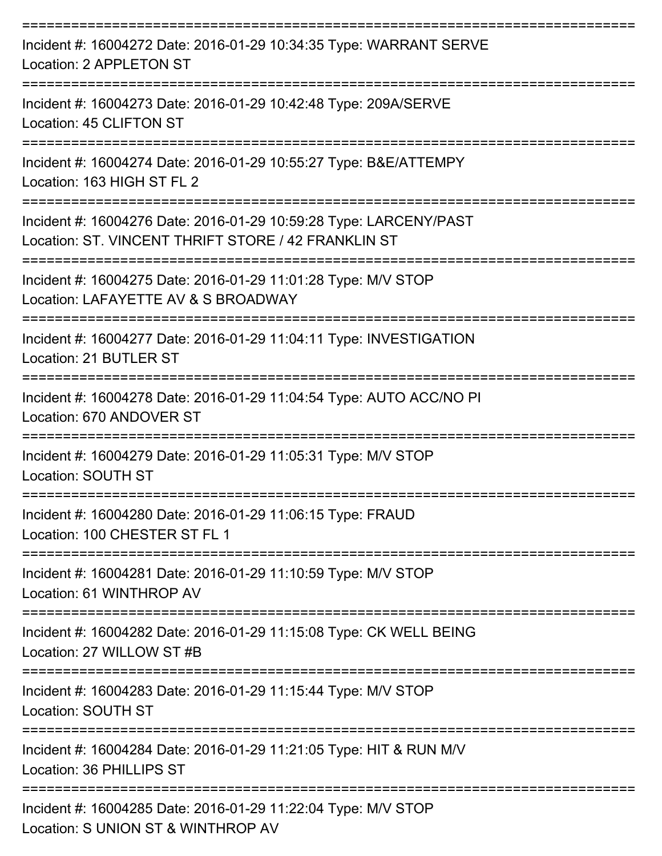| Incident #: 16004272 Date: 2016-01-29 10:34:35 Type: WARRANT SERVE<br>Location: 2 APPLETON ST<br>================================ |
|-----------------------------------------------------------------------------------------------------------------------------------|
| Incident #: 16004273 Date: 2016-01-29 10:42:48 Type: 209A/SERVE<br>Location: 45 CLIFTON ST                                        |
| Incident #: 16004274 Date: 2016-01-29 10:55:27 Type: B&E/ATTEMPY<br>Location: 163 HIGH ST FL 2                                    |
| Incident #: 16004276 Date: 2016-01-29 10:59:28 Type: LARCENY/PAST<br>Location: ST. VINCENT THRIFT STORE / 42 FRANKLIN ST          |
| Incident #: 16004275 Date: 2016-01-29 11:01:28 Type: M/V STOP<br>Location: LAFAYETTE AV & S BROADWAY                              |
| Incident #: 16004277 Date: 2016-01-29 11:04:11 Type: INVESTIGATION<br>Location: 21 BUTLER ST                                      |
| Incident #: 16004278 Date: 2016-01-29 11:04:54 Type: AUTO ACC/NO PI<br>Location: 670 ANDOVER ST                                   |
| Incident #: 16004279 Date: 2016-01-29 11:05:31 Type: M/V STOP<br>Location: SOUTH ST                                               |
| Incident #: 16004280 Date: 2016-01-29 11:06:15 Type: FRAUD<br>Location: 100 CHESTER ST FL 1                                       |
| Incident #: 16004281 Date: 2016-01-29 11:10:59 Type: M/V STOP<br>Location: 61 WINTHROP AV                                         |
| Incident #: 16004282 Date: 2016-01-29 11:15:08 Type: CK WELL BEING<br>Location: 27 WILLOW ST #B                                   |
| ------------------------<br>Incident #: 16004283 Date: 2016-01-29 11:15:44 Type: M/V STOP<br>Location: SOUTH ST                   |
| Incident #: 16004284 Date: 2016-01-29 11:21:05 Type: HIT & RUN M/V<br>Location: 36 PHILLIPS ST                                    |
| Incident #: 16004285 Date: 2016-01-29 11:22:04 Type: M/V STOP<br>Location: S UNION ST & WINTHROP AV                               |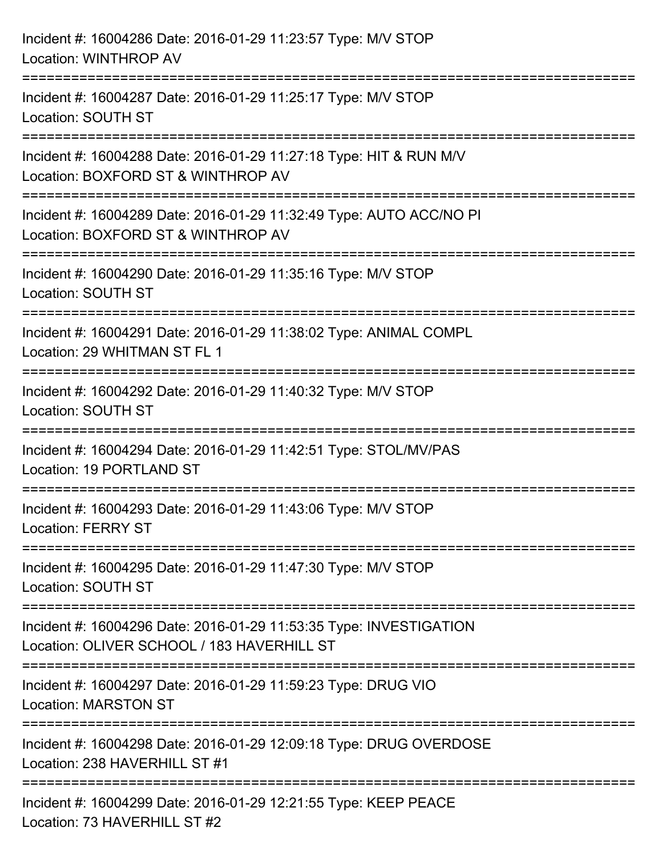| Incident #: 16004286 Date: 2016-01-29 11:23:57 Type: M/V STOP<br><b>Location: WINTHROP AV</b>                                                                 |
|---------------------------------------------------------------------------------------------------------------------------------------------------------------|
| ================================<br>Incident #: 16004287 Date: 2016-01-29 11:25:17 Type: M/V STOP<br>Location: SOUTH ST                                       |
| ----------------------<br>Incident #: 16004288 Date: 2016-01-29 11:27:18 Type: HIT & RUN M/V<br>Location: BOXFORD ST & WINTHROP AV                            |
| Incident #: 16004289 Date: 2016-01-29 11:32:49 Type: AUTO ACC/NO PI<br>Location: BOXFORD ST & WINTHROP AV                                                     |
| Incident #: 16004290 Date: 2016-01-29 11:35:16 Type: M/V STOP<br><b>Location: SOUTH ST</b>                                                                    |
| Incident #: 16004291 Date: 2016-01-29 11:38:02 Type: ANIMAL COMPL<br>Location: 29 WHITMAN ST FL 1                                                             |
| --------------------<br>Incident #: 16004292 Date: 2016-01-29 11:40:32 Type: M/V STOP<br><b>Location: SOUTH ST</b>                                            |
| Incident #: 16004294 Date: 2016-01-29 11:42:51 Type: STOL/MV/PAS<br>Location: 19 PORTLAND ST                                                                  |
| Incident #: 16004293 Date: 2016-01-29 11:43:06 Type: M/V STOP<br><b>Location: FERRY ST</b>                                                                    |
| Incident #: 16004295 Date: 2016-01-29 11:47:30 Type: M/V STOP<br>Location: SOUTH ST                                                                           |
| Incident #: 16004296 Date: 2016-01-29 11:53:35 Type: INVESTIGATION<br>Location: OLIVER SCHOOL / 183 HAVERHILL ST                                              |
| ;=============================<br>===========================<br>Incident #: 16004297 Date: 2016-01-29 11:59:23 Type: DRUG VIO<br><b>Location: MARSTON ST</b> |
| Incident #: 16004298 Date: 2016-01-29 12:09:18 Type: DRUG OVERDOSE<br>Location: 238 HAVERHILL ST #1                                                           |
| Incident #: 16004299 Date: 2016-01-29 12:21:55 Type: KEEP PEACE<br>Location: 73 HAVERHILL ST #2                                                               |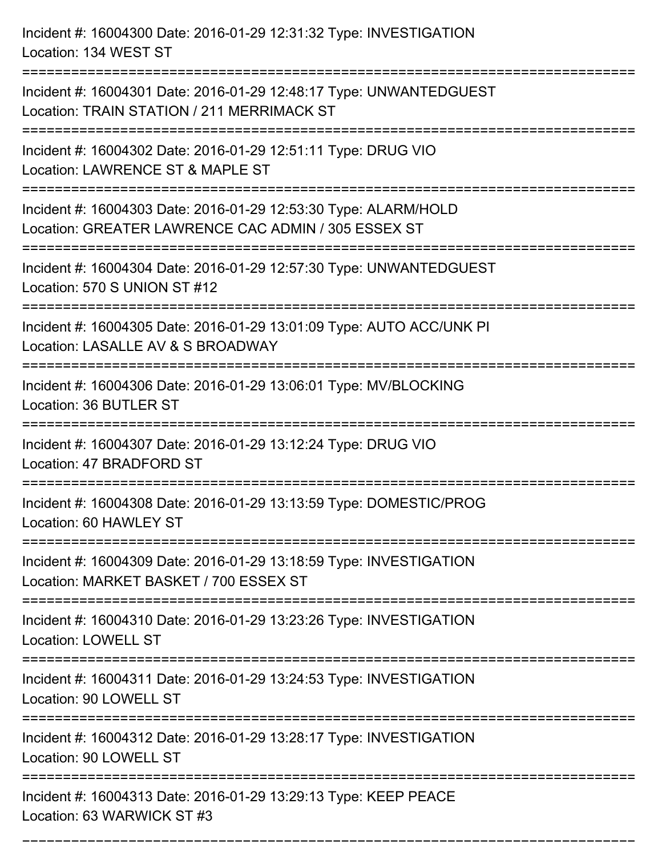Incident #: 16004300 Date: 2016-01-29 12:31:32 Type: INVESTIGATION Location: 134 WEST ST =========================================================================== Incident #: 16004301 Date: 2016-01-29 12:48:17 Type: UNWANTEDGUEST Location: TRAIN STATION / 211 MERRIMACK ST =========================================================================== Incident #: 16004302 Date: 2016-01-29 12:51:11 Type: DRUG VIO Location: LAWRENCE ST & MAPLE ST =========================================================================== Incident #: 16004303 Date: 2016-01-29 12:53:30 Type: ALARM/HOLD Location: GREATER LAWRENCE CAC ADMIN / 305 ESSEX ST =========================================================================== Incident #: 16004304 Date: 2016-01-29 12:57:30 Type: UNWANTEDGUEST Location: 570 S UNION ST #12 =========================================================================== Incident #: 16004305 Date: 2016-01-29 13:01:09 Type: AUTO ACC/UNK PI Location: LASALLE AV & S BROADWAY =========================================================================== Incident #: 16004306 Date: 2016-01-29 13:06:01 Type: MV/BLOCKING Location: 36 BUTLER ST =========================================================================== Incident #: 16004307 Date: 2016-01-29 13:12:24 Type: DRUG VIO Location: 47 BRADFORD ST =========================================================================== Incident #: 16004308 Date: 2016-01-29 13:13:59 Type: DOMESTIC/PROG Location: 60 HAWLEY ST =========================================================================== Incident #: 16004309 Date: 2016-01-29 13:18:59 Type: INVESTIGATION Location: MARKET BASKET / 700 ESSEX ST =========================================================================== Incident #: 16004310 Date: 2016-01-29 13:23:26 Type: INVESTIGATION Location: LOWELL ST =========================================================================== Incident #: 16004311 Date: 2016-01-29 13:24:53 Type: INVESTIGATION Location: 90 LOWELL ST =========================================================================== Incident #: 16004312 Date: 2016-01-29 13:28:17 Type: INVESTIGATION Location: 90 LOWELL ST =========================================================================== Incident #: 16004313 Date: 2016-01-29 13:29:13 Type: KEEP PEACE Location: 63 WARWICK ST #3

===========================================================================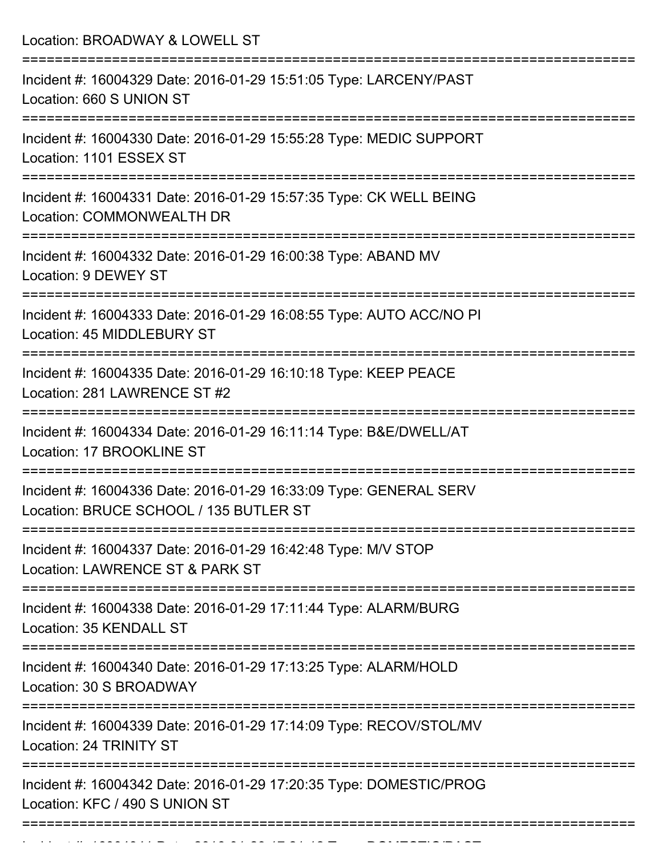Location: BROADWAY & LOWELL ST =========================================================================== Incident #: 16004329 Date: 2016-01-29 15:51:05 Type: LARCENY/PAST Location: 660 S UNION ST =========================================================================== Incident #: 16004330 Date: 2016-01-29 15:55:28 Type: MEDIC SUPPORT Location: 1101 ESSEX ST =========================================================================== Incident #: 16004331 Date: 2016-01-29 15:57:35 Type: CK WELL BEING Location: COMMONWEALTH DR =========================================================================== Incident #: 16004332 Date: 2016-01-29 16:00:38 Type: ABAND MV Location: 9 DEWEY ST =========================================================================== Incident #: 16004333 Date: 2016-01-29 16:08:55 Type: AUTO ACC/NO PI Location: 45 MIDDLEBURY ST =========================================================================== Incident #: 16004335 Date: 2016-01-29 16:10:18 Type: KEEP PEACE Location: 281 LAWRENCE ST #2 =========================================================================== Incident #: 16004334 Date: 2016-01-29 16:11:14 Type: B&E/DWELL/AT Location: 17 BROOKLINE ST =========================================================================== Incident #: 16004336 Date: 2016-01-29 16:33:09 Type: GENERAL SERV Location: BRUCE SCHOOL / 135 BUTLER ST =========================================================================== Incident #: 16004337 Date: 2016-01-29 16:42:48 Type: M/V STOP Location: LAWRENCE ST & PARK ST =========================================================================== Incident #: 16004338 Date: 2016-01-29 17:11:44 Type: ALARM/BURG Location: 35 KENDALL ST =========================================================================== Incident #: 16004340 Date: 2016-01-29 17:13:25 Type: ALARM/HOLD Location: 30 S BROADWAY =========================================================================== Incident #: 16004339 Date: 2016-01-29 17:14:09 Type: RECOV/STOL/MV Location: 24 TRINITY ST =========================================================================== Incident #: 16004342 Date: 2016-01-29 17:20:35 Type: DOMESTIC/PROG Location: KFC / 490 S UNION ST ===========================================================================

Incident #: 16004341 Date: 2016 01 29 17:21:12 Type: 2016 01 29 17:21:21:21:21:21:21:21:21:21:21:21:<br>.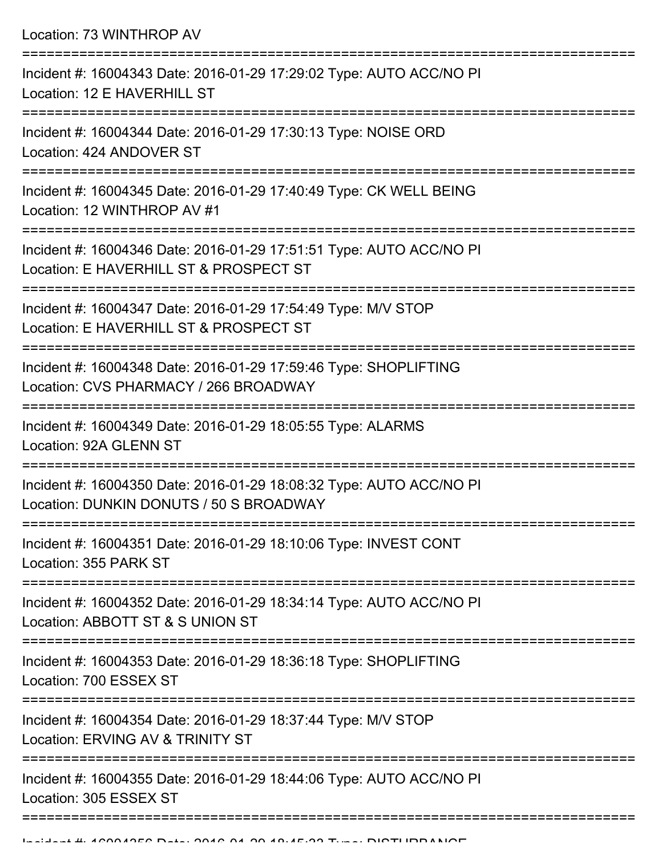| Location: 73 WINTHROP AV                                                                                         |
|------------------------------------------------------------------------------------------------------------------|
| Incident #: 16004343 Date: 2016-01-29 17:29:02 Type: AUTO ACC/NO PI<br>Location: 12 E HAVERHILL ST               |
| Incident #: 16004344 Date: 2016-01-29 17:30:13 Type: NOISE ORD<br>Location: 424 ANDOVER ST                       |
| Incident #: 16004345 Date: 2016-01-29 17:40:49 Type: CK WELL BEING<br>Location: 12 WINTHROP AV #1                |
| Incident #: 16004346 Date: 2016-01-29 17:51:51 Type: AUTO ACC/NO PI<br>Location: E HAVERHILL ST & PROSPECT ST    |
| Incident #: 16004347 Date: 2016-01-29 17:54:49 Type: M/V STOP<br>Location: E HAVERHILL ST & PROSPECT ST          |
| Incident #: 16004348 Date: 2016-01-29 17:59:46 Type: SHOPLIFTING<br>Location: CVS PHARMACY / 266 BROADWAY        |
| Incident #: 16004349 Date: 2016-01-29 18:05:55 Type: ALARMS<br>Location: 92A GLENN ST<br>======================= |
| Incident #: 16004350 Date: 2016-01-29 18:08:32 Type: AUTO ACC/NO PI<br>Location: DUNKIN DONUTS / 50 S BROADWAY   |
| Incident #: 16004351 Date: 2016-01-29 18:10:06 Type: INVEST CONT<br>Location: 355 PARK ST                        |
| Incident #: 16004352 Date: 2016-01-29 18:34:14 Type: AUTO ACC/NO PI<br>Location: ABBOTT ST & S UNION ST          |
| Incident #: 16004353 Date: 2016-01-29 18:36:18 Type: SHOPLIFTING<br>Location: 700 ESSEX ST                       |
| Incident #: 16004354 Date: 2016-01-29 18:37:44 Type: M/V STOP<br>Location: ERVING AV & TRINITY ST                |
| Incident #: 16004355 Date: 2016-01-29 18:44:06 Type: AUTO ACC/NO PI<br>Location: 305 ESSEX ST                    |
|                                                                                                                  |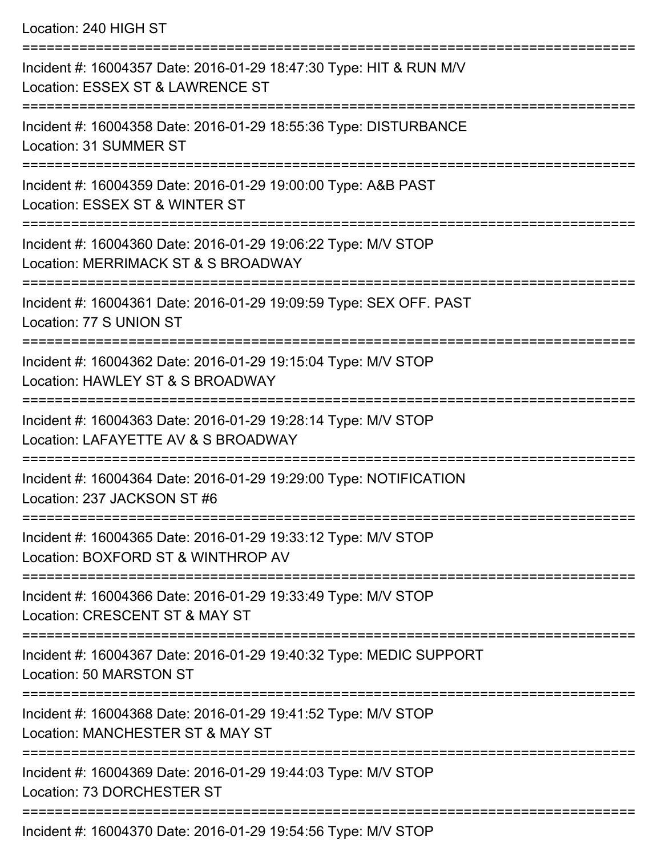Location: 240 HIGH ST

| Incident #: 16004357 Date: 2016-01-29 18:47:30 Type: HIT & RUN M/V<br>Location: ESSEX ST & LAWRENCE ST |
|--------------------------------------------------------------------------------------------------------|
| Incident #: 16004358 Date: 2016-01-29 18:55:36 Type: DISTURBANCE<br>Location: 31 SUMMER ST             |
| Incident #: 16004359 Date: 2016-01-29 19:00:00 Type: A&B PAST<br>Location: ESSEX ST & WINTER ST        |
| Incident #: 16004360 Date: 2016-01-29 19:06:22 Type: M/V STOP<br>Location: MERRIMACK ST & S BROADWAY   |
| Incident #: 16004361 Date: 2016-01-29 19:09:59 Type: SEX OFF. PAST<br>Location: 77 S UNION ST          |
| Incident #: 16004362 Date: 2016-01-29 19:15:04 Type: M/V STOP<br>Location: HAWLEY ST & S BROADWAY      |
| Incident #: 16004363 Date: 2016-01-29 19:28:14 Type: M/V STOP<br>Location: LAFAYETTE AV & S BROADWAY   |
| Incident #: 16004364 Date: 2016-01-29 19:29:00 Type: NOTIFICATION<br>Location: 237 JACKSON ST #6       |
| Incident #: 16004365 Date: 2016-01-29 19:33:12 Type: M/V STOP<br>Location: BOXFORD ST & WINTHROP AV    |
| Incident #: 16004366 Date: 2016-01-29 19:33:49 Type: M/V STOP<br>Location: CRESCENT ST & MAY ST        |
| Incident #: 16004367 Date: 2016-01-29 19:40:32 Type: MEDIC SUPPORT<br>Location: 50 MARSTON ST          |
| Incident #: 16004368 Date: 2016-01-29 19:41:52 Type: M/V STOP<br>Location: MANCHESTER ST & MAY ST      |
| Incident #: 16004369 Date: 2016-01-29 19:44:03 Type: M/V STOP<br>Location: 73 DORCHESTER ST            |
|                                                                                                        |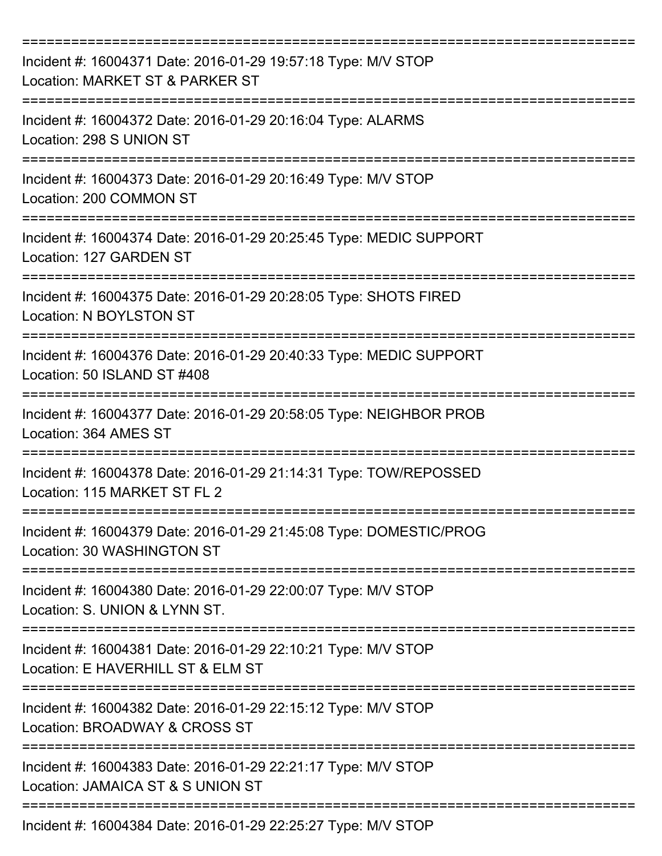| Incident #: 16004371 Date: 2016-01-29 19:57:18 Type: M/V STOP<br>Location: MARKET ST & PARKER ST   |
|----------------------------------------------------------------------------------------------------|
| Incident #: 16004372 Date: 2016-01-29 20:16:04 Type: ALARMS<br>Location: 298 S UNION ST            |
| Incident #: 16004373 Date: 2016-01-29 20:16:49 Type: M/V STOP<br>Location: 200 COMMON ST           |
| Incident #: 16004374 Date: 2016-01-29 20:25:45 Type: MEDIC SUPPORT<br>Location: 127 GARDEN ST      |
| Incident #: 16004375 Date: 2016-01-29 20:28:05 Type: SHOTS FIRED<br><b>Location: N BOYLSTON ST</b> |
| Incident #: 16004376 Date: 2016-01-29 20:40:33 Type: MEDIC SUPPORT<br>Location: 50 ISLAND ST #408  |
| Incident #: 16004377 Date: 2016-01-29 20:58:05 Type: NEIGHBOR PROB<br>Location: 364 AMES ST        |
| Incident #: 16004378 Date: 2016-01-29 21:14:31 Type: TOW/REPOSSED<br>Location: 115 MARKET ST FL 2  |
| Incident #: 16004379 Date: 2016-01-29 21:45:08 Type: DOMESTIC/PROG<br>Location: 30 WASHINGTON ST   |
| Incident #: 16004380 Date: 2016-01-29 22:00:07 Type: M/V STOP<br>Location: S. UNION & LYNN ST.     |
| Incident #: 16004381 Date: 2016-01-29 22:10:21 Type: M/V STOP<br>Location: E HAVERHILL ST & ELM ST |
| Incident #: 16004382 Date: 2016-01-29 22:15:12 Type: M/V STOP<br>Location: BROADWAY & CROSS ST     |
| Incident #: 16004383 Date: 2016-01-29 22:21:17 Type: M/V STOP<br>Location: JAMAICA ST & S UNION ST |
| Incident #: 16004384 Date: 2016-01-29 22:25:27 Type: M/V STOP                                      |